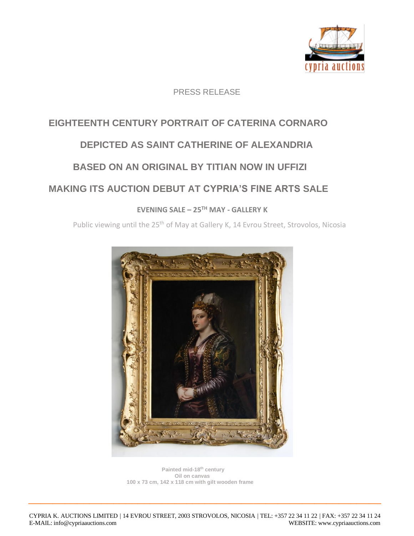

## PRESS RELEASE

## **EIGHTEENTH CENTURY PORTRAIT OF CATERINA CORNARO DEPICTED AS SAINT CATHERINE OF ALEXANDRIA BASED ON AN ORIGINAL BY TITIAN NOW IN UFFIZI**

## **MAKING ITS AUCTION DEBUT AT CYPRIA'S FINE ARTS SALE**

## **EVENING SALE – 25TH MAY - GALLERY K**

Public viewing until the 25<sup>th</sup> of May at Gallery K, 14 Evrou Street, Strovolos, Nicosia



 **Painted mid-18th century Oil on canvas 100 x 73 cm, 142 x 118 cm with gilt wooden frame**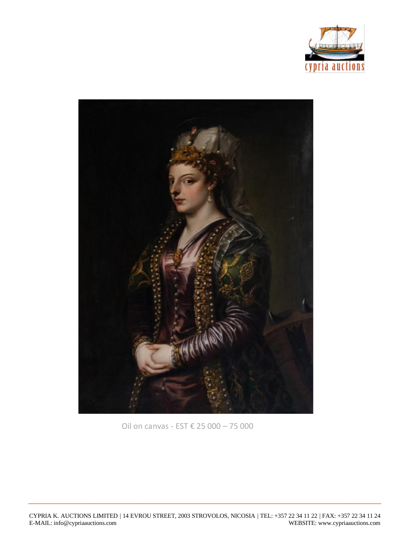



Oil on canvas - EST € 25 000 – 75 000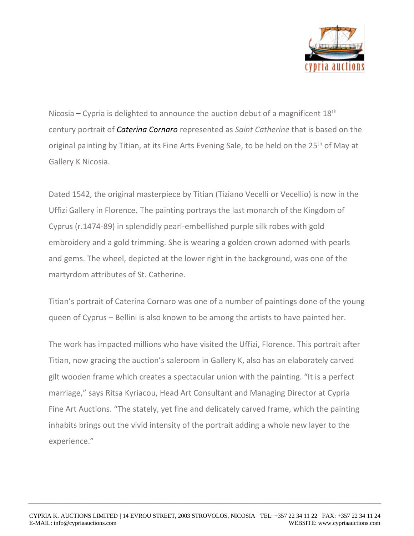

Nicosia – Cypria is delighted to announce the auction debut of a magnificent  $18<sup>th</sup>$ century portrait of *[Caterina Cornaro](https://cypriaauctions.com/lot/caterina-cornaro/)* represented as *Saint Catherine* that is based on the original painting by Titian, at its Fine Arts Evening Sale, to be held on the 25<sup>th</sup> of May at Gallery K Nicosia.

Dated 1542, the original masterpiece by Titian (Tiziano Vecelli or Vecellio) is now in the Uffizi Gallery in Florence. The painting portrays the last monarch of the Kingdom of Cyprus (r.1474-89) in splendidly pearl-embellished purple silk robes with gold embroidery and a gold trimming. She is wearing a golden crown adorned with pearls and gems. The wheel, depicted at the lower right in the background, was one of the martyrdom attributes of St. Catherine.

Titian's portrait of Caterina Cornaro was one of a number of paintings done of the young queen of Cyprus – Bellini is also known to be among the artists to have painted her.

The work has impacted millions who have visited the Uffizi, Florence. This portrait after Titian, now gracing the auction's saleroom in Gallery K, also has an elaborately carved gilt wooden frame which creates a spectacular union with the painting. "It is a perfect marriage," says Ritsa Kyriacou, Head Art Consultant and Managing Director at Cypria Fine Art Auctions. "The stately, yet fine and delicately carved frame, which the painting inhabits brings out the vivid intensity of the portrait adding a whole new layer to the experience."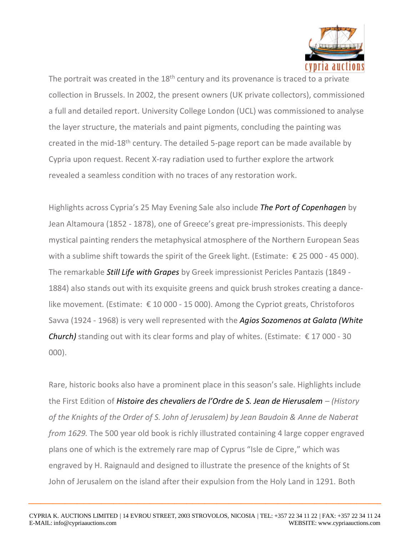

The portrait was created in the 18<sup>th</sup> century and its provenance is traced to a private collection in Brussels. In 2002, the present owners (UK private collectors), commissioned a full and detailed report. University College London (UCL) was commissioned to analyse the layer structure, the materials and paint pigments, concluding the painting was created in the mid-18th century. The detailed 5-page report can be made available by Cypria upon request. Recent X-ray radiation used to further explore the artwork revealed a seamless condition with no traces of any restoration work.

Highlights across Cypria's 25 May Evening Sale also include *[The Port of Copenhagen](https://cypriaauctions.com/lot/jean-altamoura-painting/)* by Jean Altamoura (1852 - 1878), one of Greece's great pre-impressionists. This deeply mystical painting renders the metaphysical atmosphere of the Northern European Seas with a sublime shift towards the spirit of the Greek light. (Estimate:  $\epsilon$  25 000 - 45 000). The remarkable *[Still Life with Grapes](https://cypriaauctions.com/lot/pericles-pantazis-painting/)* by Greek impressionist Pericles Pantazis (1849 - 1884) also stands out with its exquisite greens and quick brush strokes creating a dancelike movement. (Estimate:  $\epsilon$  10 000 - 15 000). Among the Cypriot greats, Christoforos Savva (1924 - 1968) is very well represented with the *[Agios Sozomenos at Galata \(White](https://cypriaauctions.com/lot/christoforos-savva-painting/)  [Church\)](https://cypriaauctions.com/lot/christoforos-savva-painting/)* standing out with its clear forms and play of whites. (Estimate:  $\epsilon$  17 000 - 30 000).

Rare, historic books also have a prominent place in this season's sale. Highlights include the First Edition of *[Histoire des chevaliers de l'Ordre de S. Jean de Hierusalem](https://cypriaauctions.com/lot/histoire-des-chevalier-baudoin/) – (History of the Knights of the Order of S. John of Jerusalem) by Jean Baudoin & Anne de Naberat from 1629.* The 500 year old book is richly illustrated containing 4 large copper engraved plans one of which is the extremely rare map of Cyprus "Isle de Cipre," which was engraved by H. Raignauld and designed to illustrate the presence of the knights of St John of Jerusalem on the island after their expulsion from the Holy Land in 1291. Both